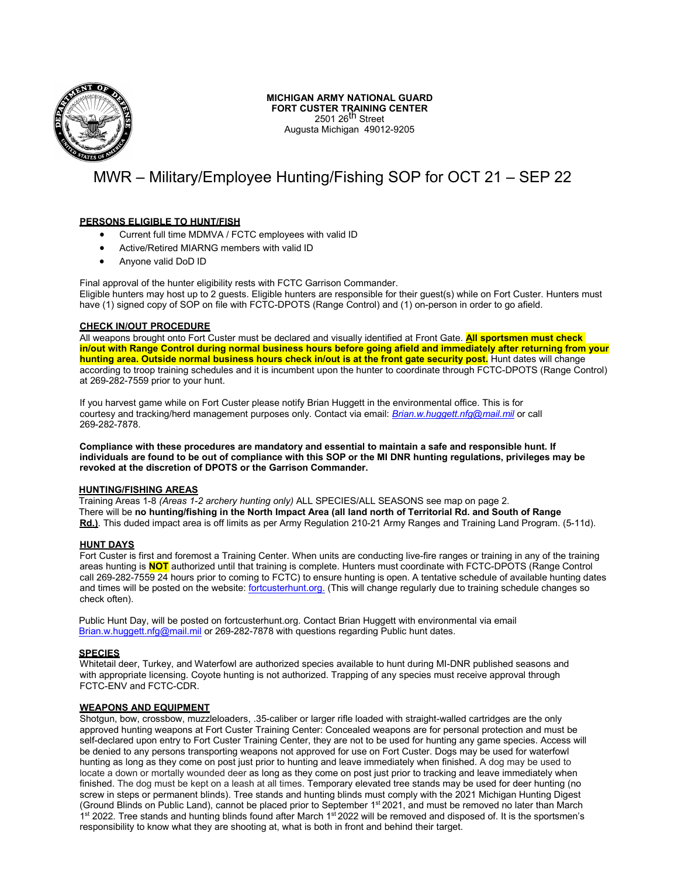

## **MICHIGAN ARMY NATIONAL GUARD FORT CUSTER TRAINING CENTER** 2501 26<sup>th</sup> Street

Augusta Michigan 49012-9205

# MWR – Military/Employee Hunting/Fishing SOP for OCT 21 – SEP 22

## **PERSONS ELIGIBLE TO HUNT/FISH**

- Current full time MDMVA / FCTC employees with valid ID
- Active/Retired MIARNG members with valid ID
- Anyone valid DoD ID

Final approval of the hunter eligibility rests with FCTC Garrison Commander. Eligible hunters may host up to 2 guests. Eligible hunters are responsible for their guest(s) while on Fort Custer. Hunters must have (1) signed copy of SOP on file with FCTC-DPOTS (Range Control) and (1) on-person in order to go afield.

#### **CHECK IN/OUT PROCEDURE**

All weapons brought onto Fort Custer must be declared and visually identified at Front Gate. **All sportsmen must check in/out with Range Control during normal business hours before going afield and immediately after returning from your hunting area. Outside normal business hours check in/out is at the front gate security post.** Hunt dates will change according to troop training schedules and it is incumbent upon the hunter to coordinate through FCTC-DPOTS (Range Control) at 269-282-7559 prior to your hunt.

If you harvest game while on Fort Custer please notify Brian Huggett in the environmental office. This is for courtesy and tracking/herd management purposes only. Contact via email: *[Brian.w.huggett.nfg@mail.mil](mailto:Brian.w.huggett.nfg@mail.mil)* or call 269-282-7878.

**Compliance with these procedures are mandatory and essential to maintain a safe and responsible hunt. If individuals are found to be out of compliance with this SOP or the MI DNR hunting regulations, privileges may be revoked at the discretion of DPOTS or the Garrison Commander.**

#### **HUNTING/FISHING AREAS**

Training Areas 1-8 *(Areas 1-2 archery hunting only)* ALL SPECIES/ALL SEASONS see map on page 2. There will be **no hunting/fishing in the North Impact Area (all land north of Territorial Rd. and South of Range Rd.)**. This duded impact area is off limits as per Army Regulation 210-21 Army Ranges and Training Land Program. (5-11d).

#### **HUNT DAYS**

Fort Custer is first and foremost a Training Center. When units are conducting live-fire ranges or training in any of the training areas hunting is **NOT** authorized until that training is complete. Hunters must coordinate with FCTC-DPOTS (Range Control call 269-282-7559 24 hours prior to coming to FCTC) to ensure hunting is open. A tentative schedule of available hunting dates and times will be posted on the website: fortcusterhunt.org. (This will change regularly due to training schedule changes so check often).

Public Hunt Day, will be posted on fortcusterhunt.org. Contact Brian Huggett with environmental via email [Brian.w.huggett.nfg@mail.mil](mailto:Brian.w.huggett.nfg@mail.mil) or 269-282-7878 with questions regarding Public hunt dates.

#### **SPECIES**

Whitetail deer, Turkey, and Waterfowl are authorized species available to hunt during MI-DNR published seasons and with appropriate licensing. Coyote hunting is not authorized. Trapping of any species must receive approval through FCTC-ENV and FCTC-CDR.

## **WEAPONS AND EQUIPMENT**

Shotgun, bow, crossbow, muzzleloaders, .35-caliber or larger rifle loaded with straight-walled cartridges are the only approved hunting weapons at Fort Custer Training Center: Concealed weapons are for personal protection and must be self-declared upon entry to Fort Custer Training Center, they are not to be used for hunting any game species. Access will be denied to any persons transporting weapons not approved for use on Fort Custer. Dogs may be used for waterfowl hunting as long as they come on post just prior to hunting and leave immediately when finished. A dog may be used to locate a down or mortally wounded deer as long as they come on post just prior to tracking and leave immediately when finished. The dog must be kept on a leash at all times. Temporary elevated tree stands may be used for deer hunting (no screw in steps or permanent blinds). Tree stands and hunting blinds must comply with the 2021 Michigan Hunting Digest (Ground Blinds on Public Land), cannot be placed prior to September 1<sup>st</sup> 2021, and must be removed no later than March 1<sup>st</sup> 2022. Tree stands and hunting blinds found after March 1<sup>st</sup> 2022 will be removed and disposed of. It is the sportsmen's responsibility to know what they are shooting at, what is both in front and behind their target.